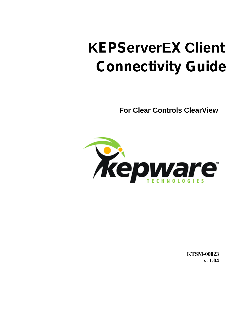# **KEPServerEX Client Connectivity Guide**

**For Clear Controls ClearView** 



**KTSM-00023** v. 1.04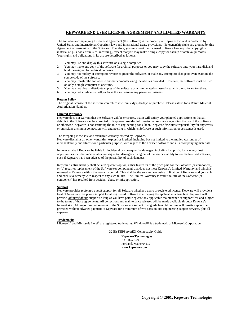#### **KEPWARE END USER LICENSE AGREEMENT AND LIMITED WARRANTY**

The software accompanying this license agreement (the Software) is the property of Kepware Inc, and is protected by United States and International Copyright laws and International treaty provisions. No ownership rights are granted by this Agreement or possession of the Software. Therefore, you must treat the Licensed Software like any other copyrighted material (e.g., a book or musical recording), except that you may make a single copy for backup or archival purposes. Your rights and obligations in its use are described as follows:

- 1. You may use and display this software on a single computer.
- 2. You may make one copy of the software for archival purposes or you may copy the software onto your hard disk and hold the original for archival purposes.
- 3. You may not modify or attempt to reverse engineer the software, or make any attempt to change or even examine the source code of the software.
- 4. You may transfer the software to another computer using the utilities provided. However, the software must be used on only a single computer at one time.
- 5. You may not give or distribute copies of the software or written materials associated with the software to others.
- 6. You may not sub-license, sell, or lease the software to any person or business.

#### **Return Policy**

The original licensee of the software can return it within sixty (60) days of purchase. Please call us for a Return Material Authorization Number.

#### **Limited Warranty**

Kepware does not warrant that the Software will be error free, that it will satisfy your planned applications or that all defects in the Software can be corrected. If Kepware provides information or assistance regarding the use of the Software or otherwise, Kepware is not assuming the role of engineering consultant. Kepware disclaims responsibility for any errors or omissions arising in connection with engineering in which its Software or such information or assistance is used.

The foregoing is the sole and exclusive warranty offered by Kepware. Kepware disclaims all other warranties, express or implied, including but not limited to the implied warranties of merchantability and fitness for a particular purpose, with regard to the licensed software and all accompanying materials.

In no event shall Kepware be liable for incidental or consequential damages, including lost profit, lost savings, lost opportunities, or other incidental or consequential damages arising out of the use or inability to use the licensed software, even if Kepware has been advised of the possibility of such damages.

Kepware's entire liability shall be, at Kepware's option, either (a) return of the price paid for the Software (or component), or (b) repair or replacement of the Software (or component) that does not meet Kepware's Limited Warranty and which is returned to Kepware within the warranty period. This shall be the sole and exclusive obligation of Kepware and your sole and exclusive remedy with respect to any such failure. The Limited Warranty is void if failure of the Software (or component) has resulted from accident, abuse or misapplication.

#### **Support**

Kepware provides *unlimited e-mail* support for all Software whether a demo or registered license. Kepware will provide a total of *two hours* free phone support for all registered Software after paying the applicable license fees. Kepware will provide *unlimited phone* support so long as you have paid Kepware any applicable maintenance or support fees and subject to the terms of those agreements. All corrections and maintenance releases will be made available through Kepware's Internet site. All major product releases of the Software are subject to upgrade fees. At no time will on-site support be provided without advance payment to Kepware for a minimum of two days on-site engineering support services, plus all expenses.

#### **Trademarks**

Microsoft® and Microsoft Excel® are registered trademarks, Windows™ is a trademark of Microsoft Corporation.

32 Bit KEPServerEX Connectivity Guide

**Kepware Technologies**  P.O. Box 579 Portland, Maine 04112 **www.kepware.com**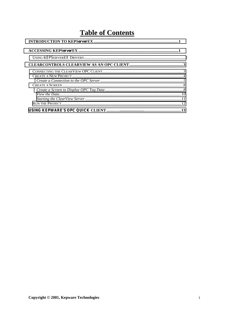### **Table of Contents**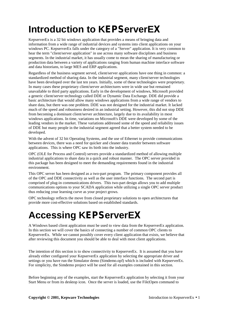# <span id="page-4-0"></span>**Introduction to KEPServerEX**

KepserverEx is a 32 bit windows application that provides a means of bringing data and information from a wide range of industrial devices and systems into client applications on your windows PC. KepserverEx falls under the category of a "Server" application. It is very common to hear the term "client/server application" in use across many software disciplines and business segments. In the industrial market, it has usually come to mean the sharing of manufacturing or production data between a variety of applications ranging from human machine interface software and data historians, to large MES and ERP applications.

Regardless of the business segment served, client/server applications have one thing in common: a standardized method of sharing data. In the industrial segment, many client/server technologies have been developed over the last ten years. Initially, some of these technologies were proprietary. In many cases these proprietary client/server architectures were in wide use but remained unavailable to third party applications. Early in the development of windows, Microsoft provided a generic client/server technology called DDE or Dynamic Data Exchange. DDE did provide a basic architecture that would allow many windows applications from a wide range of vendors to share data, but there was one problem. DDE was not designed for the industrial market. It lacked much of the speed and robustness desired in an industrial setting. However, this did not stop DDE from becoming a dominant client/server architecture, largely due to its availability in most windows applications. In time, variations on Microsoft's DDE were developed by some of the leading vendors in the market. These variations addressed some of the speed and reliability issues of DDE but many people in the industrial segment agreed that a better system needed to be developed.

With the advent of 32 bit Operating Systems, and the use of Ethernet to provide communications between devices, there was a need for quicker and cleaner data transfer between software applications. This is where OPC saw its birth into the industry.

OPC (OLE for Process and Control) servers provide a standardized method of allowing multiple industrial applications to share data in a quick and robust manner. The OPC server provided in this package has been designed to meet the demanding requirements found in the industrial environment.

This OPC server has been designed as a two-part program. The primary component provides all of the OPC and DDE connectivity as well as the user interface functions. The second part is comprised of plug-in communications drivers. This two-part design allows you to add multiple communications options to your SCADA application while utilizing a single OPC server product thus reducing your learning curve as your project grows.

OPC technology reflects the move from closed proprietary solutions to open architectures that provide more cost-effective solutions based on established standards.

# **Accessing KEPServerEX**

A Windows based client application must be used to view data from the KepserverEx application. In this section we will cover the basics of connecting a number of common OPC clients to KepserverEx. While we cannot possibly cover every client application that exists, we believe that after reviewing this document you should be able to deal with most client applications.

The intention of this section is to show connectivity to KepserverEx. It is assumed that you have already either configured your KepserverEx application by selecting the appropriate driver and settings or you have run the Simulator demo (Simdemo.opf) which is included with KepserverEx. For simplicity, the Simdemo project will be used for all examples contained in this section.

Before beginning any of the examples, start the KepserverEx application by selecting it from your Start Menu or from its desktop icon. Once the server is loaded, use the File|Open command to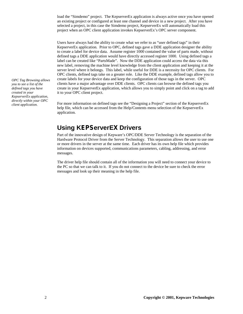<span id="page-5-0"></span>load the "Simdemo" project. The KepserverEx application is always active once you have opened an existing project or configured at least one channel and device in a new project. After you have selected a project, in this case the Simdemo project, KepserverEx will automatically load this project when an OPC client application invokes KepserverEx's OPC server component.

Users have always had the ability to create what we refer to as "user defined tags" in their KepserverEx application. Prior to OPC, defined tags gave a DDE application designer the ability to create a label for device data. Assume register 1000 contained the value of parts made, without defined tags a DDE application would have directly accessed register 1000. Using defined tags a label can be created like "PartsMade". Now the DDE application could access the data via this new label, removing the machine level knowledge from the client application and keeping it at the server level where it belongs. This label, while useful for DDE is a necessity for OPC clients. For OPC clients, defined tags take on a greater role. Like the DDE example, defined tags allow you to create labels for your device data and keep the configuration of those tags in the server. OPC clients have a major advantage over DDE clients. OPC clients can browse the defined tags you create in your KepserverEx application, which allows you to simply point and click on a tag to add it to your OPC client project.

For more information on defined tags see the "Designing a Project" section of the KepserverEx help file, which can be accessed from the Help/Contents menu selection of the KepserverEx application.

#### **Using KEPServerEX Drivers**

Part of the innovative design of Kepware's OPC/DDE Server Technology is the separation of the Hardware Protocol Driver from the Server Technology. This separation allows the user to use one or more drivers in the server at the same time. Each driver has its own help file which provides information on devices supported, communications parameters, cabling, addressing, and error messages.

The driver help file should contain all of the information you will need to connect your device to the PC so that we can talk to it. If you do not connect to the device be sure to check the error messages and look up their meaning in the help file.

*OPC Tag Browsing allows you to see a list of the defined tags you have created in your KepserverEx application, directly within your OPC client application.*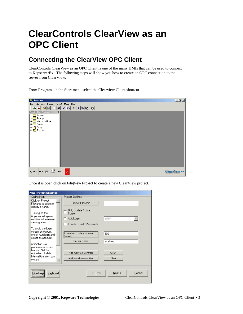## <span id="page-6-0"></span>**ClearControls ClearView as an OPC Client**

### **Connecting the ClearView OPC Client**

ClearControls ClearView as an OPC Client is one of the many HMIs that can be used to connect to KepserverEx. The following steps will show you how to create an OPC connection to the server from ClearView.

From Programs in the Start menu select the Clearview Client shortcut.

| File Edit View Project Format Mode Help<br><u>iaa bili de da xisba a</u><br><b>M</b><br><b>Application Explorer</b><br><b>Screens</b><br>$\Box$ PopUps<br>Alarms and Events<br>Fig. Trends<br>  Hong Setup<br>  Hong Reports |
|------------------------------------------------------------------------------------------------------------------------------------------------------------------------------------------------------------------------------|
|                                                                                                                                                                                                                              |
|                                                                                                                                                                                                                              |
|                                                                                                                                                                                                                              |
|                                                                                                                                                                                                                              |
|                                                                                                                                                                                                                              |
|                                                                                                                                                                                                                              |
|                                                                                                                                                                                                                              |
|                                                                                                                                                                                                                              |
|                                                                                                                                                                                                                              |
|                                                                                                                                                                                                                              |
|                                                                                                                                                                                                                              |
|                                                                                                                                                                                                                              |
|                                                                                                                                                                                                                              |
|                                                                                                                                                                                                                              |
|                                                                                                                                                                                                                              |
|                                                                                                                                                                                                                              |
| $\mathbb{R}$ admin<br>QA.<br><b>ClearView 4.0</b><br>8/5/2003 11:00 0                                                                                                                                                        |

Once it is open click on File|New Project to create a new ClearView project.

| <b>New Project Settings</b>                                                                      |                                                                    |
|--------------------------------------------------------------------------------------------------|--------------------------------------------------------------------|
| Online Help:                                                                                     | Project Settings:                                                  |
| Click on Project<br>Filename to select or<br>specify a name.                                     | Project Filename                                                   |
| Turning off the<br><b>Application Explorer</b>                                                   | Only Update Active<br>Screen                                       |
| window will maximize.                                                                            | admin<br>AutoLogin                                                 |
| viewing area.                                                                                    | Enable Psuedo Passwords                                            |
| To avoid the login<br>screen on startup,<br>check Autologin and<br>select an account.            | Animation Update Interval<br>500<br>límsec1                        |
| Animation is a                                                                                   | Server Name<br>localhost                                           |
| processor-intensive<br>feature. Set the<br>Animation Update<br>Interval to match your<br>system. | Add Active X Controls<br>Clear<br>Add Miscellaneous Files<br>Clear |
| <br>Keyboard<br>Hide Helpi                                                                       | Next>><br>Cancel<br>< <back< td=""></back<>                        |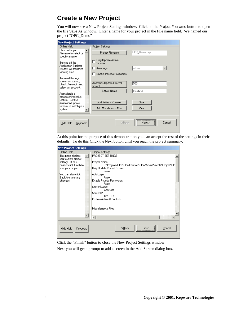### <span id="page-7-0"></span>**Create a New Project**

You will now see a New Project Settings window. Click on the Project Filename button to open the file Save As window. Enter a name for your project in the File name field. We named our project "OPC\_Demo"

| <b>New Project Settings</b>                                                                                        |                                                              |                      |
|--------------------------------------------------------------------------------------------------------------------|--------------------------------------------------------------|----------------------|
| Online Help:                                                                                                       | Project Settings:                                            |                      |
| Click on Project<br>Filename to select or<br>specify a name.                                                       | <b>Project Filename</b>                                      | OPC_Demo.cvp         |
| Turning off the<br><b>Application Explorer</b>                                                                     | Only Update Active<br>Screen                                 |                      |
| window will maximize.                                                                                              | AutoLogin                                                    | admin                |
| viewing area.                                                                                                      | Enable Psuedo Passwords                                      |                      |
| To avoid the login<br>screen on startup,<br>check Autologin and<br>select an account.                              | Animation Update Interval<br>límsect                         | 500                  |
|                                                                                                                    | Server Name                                                  | localhost            |
| Animation is a<br>processor-intensive<br>feature. Set the<br>Animation Update<br>Interval to match your<br>system. | Add Active X Controls<br>Add Miscellaneous Files             | Clear<br>Clear       |
| Hide Help<br>Keyboard                                                                                              | < <back< td=""><td>Cancel<br/>Next&gt;&gt;<br/></td></back<> | Cancel<br>Next>><br> |

At this point for the purpose of this demonstration you can accept the rest of the settings in their defaults. To do this Click the Next button until you reach the project summary.

| <b>New Project Settings</b>                     |                                                                               |
|-------------------------------------------------|-------------------------------------------------------------------------------|
| Online Help-                                    | Project Settings:                                                             |
| This page displays.<br>your current project     | PROJECT SETTINGS                                                              |
| settings. If all is<br>correct click Finish to: | Project Name:<br>C:\Program Files\ClearControls\ClearView\Projects\Project\0P |
| start your project.                             | Only Update Current Screen:<br>False                                          |
| You can also click.<br>Back to make any         | AutoLogin:<br>False                                                           |
| changes.                                        | Enable Psuedo Passwords:<br>False                                             |
|                                                 | Server Name:<br>localhost                                                     |
|                                                 | Server IP:<br>127.0.0.1                                                       |
|                                                 | Custom Active X Controls:                                                     |
|                                                 | Miscellaneous Files:                                                          |
|                                                 |                                                                               |
| Hide Help<br>Keyboard                           | <br>Finish<br><< <u>Back</u><br>Cancel                                        |

Click the "Finish" button to close the New Project Settings window.

Next you will get a prompt to add a screen in the Add Screen dialog box.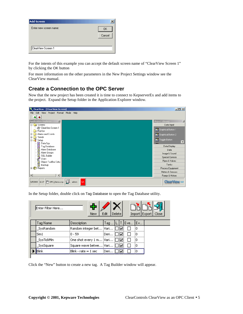<span id="page-8-0"></span>

| Cancel |
|--------|
|        |
|        |
|        |

For the intents of this example you can accept the default screen name of "ClearView Screen 1" by clicking the OK button

For more information on the other parameters in the New Project Settings window see the ClearView manual.

#### **Create a Connection to the OPC Server**

Now that the new project has been created it is time to connect to KepserverEx and add items to the project. Expand the Setup folder in the Application Explorer window.



In the Setup folder, double click on Tag Database to open the Tag Database utility.

|  | Enter Filter Here | New                      | Edit | Delete |     |     | Import Export | Close |
|--|-------------------|--------------------------|------|--------|-----|-----|---------------|-------|
|  | Tag Name          | Description              | Tag  |        |     | Eve | Ev            |       |
|  | SysRandom         | Random integer bet       | Vari |        | ⊮   |     | Ю             |       |
|  | Sim1              | $0 - 59$                 | Deri |        | ⊮   |     | Ю             |       |
|  | SysTickMin        | One shot every 1 m Vari  |      |        | ⊪∽  |     | 0             |       |
|  | SysSquare         | Square wave betwe        | Vari |        | ⊮   |     | Ю             |       |
|  | <b>Blink</b>      | $Blink$ - rate $= 1$ sec | Deri |        | ll۷ |     | n             |       |
|  |                   |                          |      |        |     |     |               |       |

Click the "New" button to create a new tag. A Tag Builder window will appear.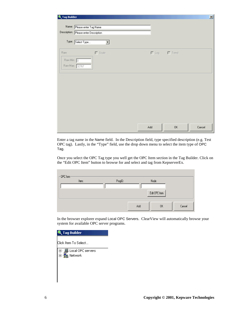| Tag Builder       |                                                                      |     |                         | $\vert x \vert$ |
|-------------------|----------------------------------------------------------------------|-----|-------------------------|-----------------|
|                   | Name: Please enter Tag Name<br>Description: Please enter Description |     |                         |                 |
|                   | Type: Select Type<br>▼                                               |     |                         |                 |
| Raw<br>Raw Min: 0 | $\Gamma$ Scale<br>Raw Max: 32767                                     |     | $\Box$ Log $\Box$ Trend |                 |
|                   |                                                                      |     |                         |                 |
|                   |                                                                      |     |                         |                 |
|                   |                                                                      | Add | 0K                      | Cancel          |

Enter a tag name in the Name field. In the Description field, type specified description (e.g. Test OPC tag). Lastly, in the "Type" field, use the drop down menu to select the item type of OPC Tag.

Once you select the OPC Tag type you well get the OPC Item section in the Tag Builder. Click on the "Edit OPC Item" button to browse for and select and tag from KepserverEx.

| $-$ OPC Item- |         |     |               |        |
|---------------|---------|-----|---------------|--------|
| Item:         | ProgID: |     | Node:         |        |
|               |         |     |               |        |
|               |         |     | Edit OPC Item |        |
|               |         |     |               |        |
|               |         | Add | OK            | Cancel |
|               |         |     |               |        |

In the browser explorer expand Local OPC Servers. ClearView will automatically browse your system for available OPC server programs.

| Tag Builder           |  |
|-----------------------|--|
| lClick Item To Select |  |
|                       |  |
| Local OPC servers     |  |
|                       |  |
|                       |  |
|                       |  |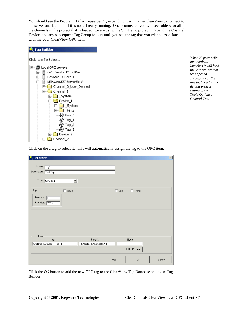You should see the Program ID for KepserverEx, expanding it will cause ClearView to connect to the server and launch it if it is not all ready running. Once connected you will see folders for all the channels in the project that is loaded, we are using the SimDemo project. Expand the Channel, Device, and any subsequent Tag Group folders until you see the tag that you wish to associate with the your ClearView OPC item.

| <b>Tag Builder</b>                            |
|-----------------------------------------------|
| lClick Item To Select                         |
| - 鳳 Local OPC servers                         |
| OPC.SimaticHMI.PTPro<br>$\dot{\mathbf{\Phi}}$ |
| Hexatec.PCData.1<br>$\overline{+}$            |
| KEPware.KEPServerEx.V4                        |
| <b>Channel 0 User Defined</b>                 |
| <b>Channel</b> _1                             |
| [∓]…<br>System                                |
| $\Box$ Device 1                               |
| 王国縣<br>System                                 |
| ÷⊡<br>Hints<br>- 38                           |
| @? Bool 1                                     |
| @? Tag_1                                      |
| @07 Tag_2                                     |
| @) Tag_3                                      |
| Device_2<br>∓⊦                                |
| Channel_2                                     |

*When KepserverEx automaticall launches it will load the last project that was opened succesfully or the one that is set in the default project setting of the Tools|Options.. General Tab.* 

Click on the a tag to select it. This will automatically assign the tag to the OPC item.

| Tag Builder<br>匾                                    |                                   |                            | $\mathbf{x}$ |
|-----------------------------------------------------|-----------------------------------|----------------------------|--------------|
| Name: Tag1<br>Description: Test Tag                 |                                   |                            |              |
| Type: OPC Tag<br>▼                                  |                                   |                            |              |
| $\Box$ Scale<br>Raw<br>Raw Min: 0<br>Raw Max: 32767 |                                   | $\Box$ Log<br>$\Box$ Trend |              |
|                                                     |                                   |                            |              |
| OPC Item-                                           |                                   |                            |              |
| Item:<br>Channel_1.Device_1.Tag_1                   | ProgID:<br>KEPware.KEPServerEx.V4 | Node:                      |              |
|                                                     |                                   | Edit OPC Item<br>0K        |              |
|                                                     |                                   | Add                        | Cancel       |

Click the OK button to add the new OPC tag to the ClearView Tag Database and close Tag Builder.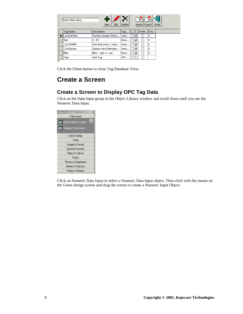<span id="page-11-0"></span>

| Enter Filter Here | Edit<br>New                 | Delete  |   | Import Export   Close |     |  |
|-------------------|-----------------------------|---------|---|-----------------------|-----|--|
| Tag Name          | Description                 | Tag     |   | T. Event              | Eve |  |
| SysRandom         | Random integer betwe        | Varia   |   |                       | O   |  |
| Sim1              | $0 - 59$                    | Deriv   | M |                       | ١o  |  |
| SysTickMin        | One shot every 1 minu Varia |         | ▽ |                       | ١o  |  |
| SysSquare         | Square wave between         | Varia   | M |                       | ۱o  |  |
| Blink             | Blink - rate = 1 sec        | DerivIl | M |                       | ١o  |  |
| Tag1              | Test Tag                    | OPC     |   |                       |     |  |

Click the Close button to close Tag Database View.

### **Create a Screen**

#### **Create a Screen to Display OPC Tag Data**

Click on the Data Input group in the Object Library window and scroll down until you see the Numeric Data Input.

| <b>Object Library</b><br>Data Input                |
|----------------------------------------------------|
| $\blacktriangle$<br><b>G</b> Multi Selector Switch |
| Numeric Data Input                                 |
| Data Display                                       |
| Data                                               |
| Image & Sound                                      |
| <b>Special Controls</b>                            |
| Pipes & Valves                                     |
| Tanks                                              |
| Process Equipment                                  |
| Meters & Sensors                                   |
| Pumps & Motors                                     |

Click on Numeric Data Input to select a Numeric Data Input object. Then click with the mouse on the Green design screen and drag the cursor to create a Numeric Input Object.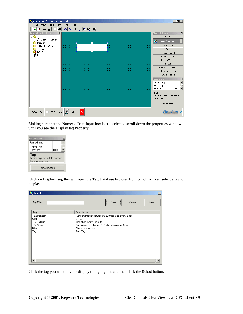| <b>Q</b> ClearView - [ClearView Screen 1]   |                        |                                     | $  $ $  $ $\times$ $ $ |
|---------------------------------------------|------------------------|-------------------------------------|------------------------|
| Project Format Mode<br>Edit<br>File<br>View | Help                   |                                     |                        |
| 좀<br>Н                                      | $X $ is equal a<br>മിവ |                                     |                        |
| ×<br>Application Exp <u>lorer</u>           |                        | <b>Object Library</b>               | $\times$               |
| <b>E</b> Screens                            |                        | Data Input                          |                        |
| √ ClearView Screen 1                        |                        |                                     | ÷                      |
| PopUps                                      |                        | <b>G</b> Numeric Data Input         |                        |
| Alarms and Events<br>画                      | n                      | Data Display                        |                        |
| Trends<br>画                                 | п                      | Data                                |                        |
| <b>Ex</b> Setup                             |                        | Image & Sound                       |                        |
| 由 <b>门</b> Reports                          |                        |                                     |                        |
|                                             |                        | <b>Special Controls</b>             |                        |
|                                             |                        | Pipes & Valves                      |                        |
|                                             |                        | Tanks                               |                        |
|                                             |                        | Process Equipment                   |                        |
|                                             |                        | Meters & Sensors                    |                        |
|                                             |                        |                                     |                        |
|                                             |                        | Pumps & Motors                      |                        |
|                                             |                        | <b>Properties</b>                   | ×                      |
|                                             |                        | FormatString                        |                        |
|                                             |                        | DisplayTag                          |                        |
|                                             |                        | DataEntry                           | True                   |
|                                             |                        |                                     |                        |
|                                             |                        | Tag<br>Stores any extra data needed |                        |
|                                             |                        | for your program.                   |                        |
|                                             |                        |                                     |                        |
|                                             |                        | Edit Animation                      |                        |
|                                             |                        |                                     |                        |
| 8/5/2003 13:14   Th OPC_Demo.cvp            | VХ<br>admin<br>QA.     |                                     | ClearView 4.0          |

Making sure that the Numeric Data Input box is still selected scroll down the properties window until you see the Display tag Property.

| <b>Properties</b>                                        |      |  |  |  |  |  |
|----------------------------------------------------------|------|--|--|--|--|--|
| FormatString                                             |      |  |  |  |  |  |
| DisplayTag                                               |      |  |  |  |  |  |
| DataEntry                                                | True |  |  |  |  |  |
| Tag<br>Stores any extra data needed<br>for your program. |      |  |  |  |  |  |
| Edit Animation                                           |      |  |  |  |  |  |

Click on Display Tag, this will open the Tag Database browser from which you can select a tag to display.

| <br>Tag Filter:<br>Select<br>Cancel<br>Clear<br><u> ^</u><br>Description<br>Tag<br>SysRandom<br>Random integer between 0-100 updated every 5 sec.<br>$0 - 59$<br>Sim1<br>_SysTickMin<br>One shot every 1 minute.<br>Square wave between 0 - 1 changing every 5 sec.<br>SysSquare<br><b>Blink</b><br>Blink - rate $= 1$ sec<br>Tag1<br>Test Tag | Select | $\vert x \vert$ |
|------------------------------------------------------------------------------------------------------------------------------------------------------------------------------------------------------------------------------------------------------------------------------------------------------------------------------------------------|--------|-----------------|
|                                                                                                                                                                                                                                                                                                                                                |        |                 |
|                                                                                                                                                                                                                                                                                                                                                |        |                 |
|                                                                                                                                                                                                                                                                                                                                                |        |                 |

Click the tag you want in your display to highlight it and then click the Select button.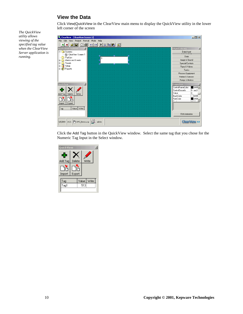#### **View the Data**

<span id="page-13-0"></span>*The QuickView utility allows viewing of the specified tag value when the ClearView Server application is* 

*running.* 

Click View|QuickView in the ClearView main menu to display the QuickView utility in the lower left corner of the screen

ClearView - [ClearView Screen 1]  $\Box$ File Edit View Project Format Mode Help <u>44 GH DG 00 XX DG 5</u> Object Lib  $\mathbbmss{N}$  $\overline{\mathbf{x}}$ □ Screens Data Input ClearView Screen 1 PopUps<br>PopUps<br>E-Calarms and Events Data In Image & Sound Alams a<br>
Frends<br>
Frends<br>
Frenchs<br>
Frenchs Special Controls Pipes & Valves Tanks Process Equipment Meters & Sensors Pumps & Motors Quic × Prop ControlFrameColor  $\overline{\bullet}$  & HO( $\overline{\bullet}$ ) 수 × ControlSecurity  $0 \cdot \text{sech}$ .<br>Delete Value  $\overline{0}$ r<br>Write Add Ta BackColor  $\overline{\Box}$  &HOI  $\frac{1000}{\frac{3000}{2}}$ Dò ForeColor Dò Import Export  $Tag$ Value Write Edit Animation 8/5/2003 14:21 0 OPC\_Demo.cvp  $\left|\bigotimes_{k=1}^{\infty}$  admin **ClearView 4.0** 

Click the Add Tag button in the QuickView window. Select the same tag that you chose for the Numeric Tag Input in the Select window.

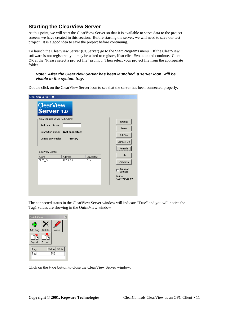#### <span id="page-14-0"></span>**Starting the ClearView Server**

At this point, we will start the ClearView Server so that it is available to serve data to the project screens we have created in this section. Before starting the server, we will need to save our test project. It is a good idea to save the project before continuing.

To launch the ClearView Server (CCServer) go to the Start|Programs menu. If the ClearView software is not registered you may be asked to register, if so click Evaluate and continue. Click OK at the "Please select a project file" prompt. Then select your project file from the appropriate folder.

#### *Note: After the ClearView Server has been launched, a server icon will be visible in the system tray.*

Double click on the ClearView Server icon to see that the server has been connected properly.

| <b>ClearView Server 4.0</b>             |                                                                                       |           |  |                                                                 |
|-----------------------------------------|---------------------------------------------------------------------------------------|-----------|--|-----------------------------------------------------------------|
| ClearView<br>Server 4.0                 |                                                                                       |           |  |                                                                 |
| Redundant Server:<br>Connection status: | ClearControls Server Redundancy<br>(not connected)<br>Current server role:<br>Primary |           |  | Settings<br>Trace<br>DataSpy<br>Compact DB<br>Refresh           |
| ClearView Clients:<br>Client            | Address                                                                               | Connected |  | Hide                                                            |
| FRED_2K                                 | 127.0.0.1                                                                             | True      |  | Shutdown<br>Autoload<br>Settings<br>Logfile:<br>CCServerLog.txt |
|                                         |                                                                                       |           |  |                                                                 |

The connected status in the ClearView Server window will indicate "True" and you will notice the Tag1 values are showing in the QuickView window



Click on the Hide button to close the ClearView Server window.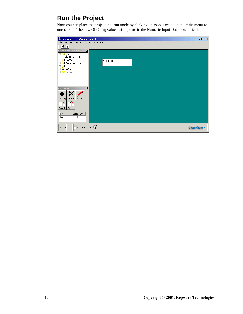### <span id="page-15-0"></span>**Run the Project**

Now you can place the project into run mode by clicking on Mode|Design in the main menu to uncheck it. The new OPC Tag values will update in the Numeric Input Data object field.

| <b>&amp;</b> ClearView - [ClearView Screen 1]                                     | $\Box$ D $\times$ |
|-----------------------------------------------------------------------------------|-------------------|
| File Edit View Project Format Mode Help                                           |                   |
| $  \mathbf{A}  $                                                                  |                   |
| <b>Application Explorer</b><br>즤                                                  |                   |
| <b>E</b> Screens<br>ClearView Screen 1                                            |                   |
| <b>PopUps</b><br>533.000000                                                       |                   |
| <b>E-C</b> Alarms and Events                                                      |                   |
| <b>E</b> Trends                                                                   |                   |
| <b>B</b> Setup<br><b>E P</b> Reports                                              |                   |
|                                                                                   |                   |
|                                                                                   |                   |
|                                                                                   |                   |
|                                                                                   |                   |
| <b>QuickView</b><br>$\times$                                                      |                   |
| 수                                                                                 |                   |
| Add Tag<br>Write<br>Delete                                                        |                   |
|                                                                                   |                   |
| ⅂⅂                                                                                |                   |
| Import<br>Export                                                                  |                   |
| Value Write<br>Tag                                                                |                   |
| Tag1<br>533                                                                       |                   |
|                                                                                   |                   |
|                                                                                   |                   |
| 8/5/2003 14:21 $\boxed{0}$ OPC_Demo.cvp $\boxed{2}$ admin<br><b>ClearView 4.0</b> |                   |